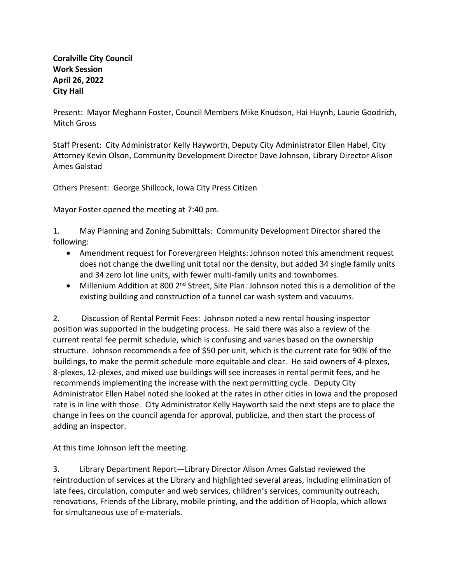## **Coralville City Council Work Session April 26, 2022 City Hall**

Present: Mayor Meghann Foster, Council Members Mike Knudson, Hai Huynh, Laurie Goodrich, Mitch Gross

Staff Present: City Administrator Kelly Hayworth, Deputy City Administrator Ellen Habel, City Attorney Kevin Olson, Community Development Director Dave Johnson, Library Director Alison Ames Galstad

Others Present: George Shillcock, Iowa City Press Citizen

Mayor Foster opened the meeting at 7:40 pm.

1. May Planning and Zoning Submittals: Community Development Director shared the following:

- Amendment request for Forevergreen Heights: Johnson noted this amendment request does not change the dwelling unit total nor the density, but added 34 single family units and 34 zero lot line units, with fewer multi-family units and townhomes.
- Millenium Addition at 800 2<sup>nd</sup> Street, Site Plan: Johnson noted this is a demolition of the existing building and construction of a tunnel car wash system and vacuums.

2. Discussion of Rental Permit Fees: Johnson noted a new rental housing inspector position was supported in the budgeting process. He said there was also a review of the current rental fee permit schedule, which is confusing and varies based on the ownership structure. Johnson recommends a fee of \$50 per unit, which is the current rate for 90% of the buildings, to make the permit schedule more equitable and clear. He said owners of 4-plexes, 8-plexes, 12-plexes, and mixed use buildings will see increases in rental permit fees, and he recommends implementing the increase with the next permitting cycle. Deputy City Administrator Ellen Habel noted she looked at the rates in other cities in Iowa and the proposed rate is in line with those. City Administrator Kelly Hayworth said the next steps are to place the change in fees on the council agenda for approval, publicize, and then start the process of adding an inspector.

At this time Johnson left the meeting.

3. Library Department Report—Library Director Alison Ames Galstad reviewed the reintroduction of services at the Library and highlighted several areas, including elimination of late fees, circulation, computer and web services, children's services, community outreach, renovations, Friends of the Library, mobile printing, and the addition of Hoopla, which allows for simultaneous use of e-materials.